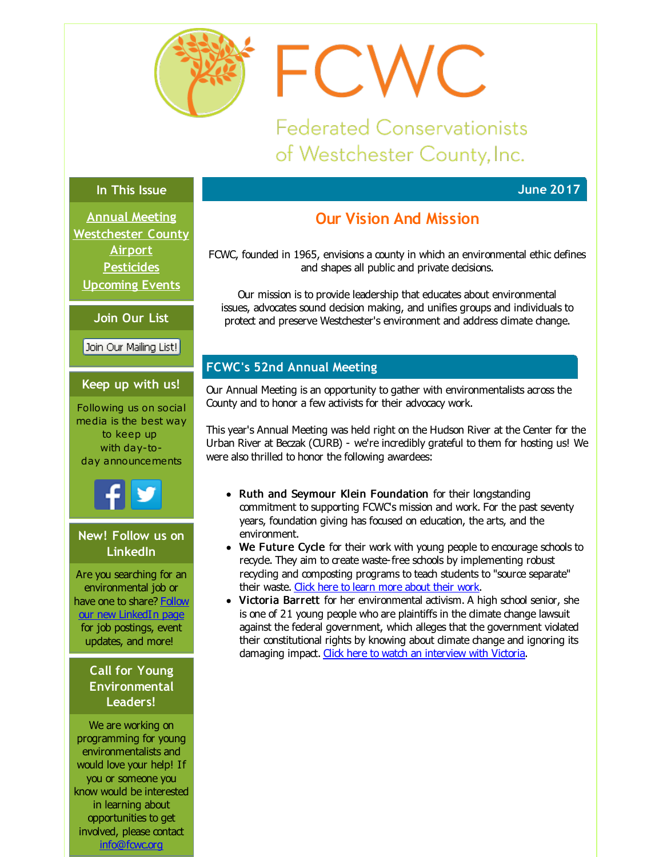<span id="page-0-0"></span>

**Federated Conservationists** of Westchester County, Inc.

FCWC

### **In This Issue**

**Annual [Meeting](#page-0-0) [Westchester](#page-0-0) County Airport [Pesticides](#page-0-0) [Upcoming](#page-0-0) Events**

**Join Our List**

Join Our Mailing List!

### **Keep up with us!**

Following us on social media is the best way to keep up with day-today announcements



### **New! Follow us on LinkedIn**

Are you searching for an environmental job or have one to share? Follow our new [LinkedIn](http://r20.rs6.net/tn.jsp?f=001P7lq9BuH0lAMhfpAa6ZswG48uo3EE6Bghkh5SO9cY06y2d8C1qiZ5nDliK0wzN691GZ9uBcUVRvrguUaSJRndlsBwfOH97jkamNgzhuvctYbuzXbksU_P5egetBlmOqnhOJn2DxmEb64NlRaPpJXdBEBPIqeUzYCeXmBgCDN2o6VJQ8FvDTmsFW6c-hCq0I0Wkhh00fc2VdmKEUteFGG6g==&c=&ch=) page for job postings, event updates, and more!

### **Call for Young Environmental Leaders!**

We are working on programming for young environmentalists and would love your help! If you or someone you know would be interested in learning about opportunities to get involved, please contact [info@fcwc.org](mailto:info@fcwc.org)

# **Our Vision And Mission**

FCWC, founded in 1965, envisions a county in which an environmental ethic defines and shapes all public and private decisions.

Our mission is to provide leadership that educates about environmental issues, advocates sound decision making, and unifies groups and individuals to protect and preserve Westchester's environment and address climate change.

## **FCWC's 52nd Annual Meeting**

Our Annual Meeting is an opportunity to gather with environmentalists across the County and to honor a few activists for their advocacy work.

This year's Annual Meeting was held right on the Hudson River at the Center for the Urban River at Beczak (CURB) - we're incredibly grateful to them for hosting us! We were also thrilled to honor the following awardees:

- Ruth and Seymour Klein Foundation for their longstanding commitment to supporting FCWC's mission and work. For the past seventy years, foundation giving has focused on education, the arts, and the environment.
- We Future Cycle for their work with young people to encourage schools to recyde. They aim to create waste-free schools by implementing robust recyding and composting programs to teach students to "source separate" their waste. Click here to learn more [about](http://r20.rs6.net/tn.jsp?f=001P7lq9BuH0lAMhfpAa6ZswG48uo3EE6Bghkh5SO9cY06y2d8C1qiZ5hrG7I5UvLrpLCPL1BqJGuWkdiLDNJoa1ux32V-9l9BmHHzZyjQvCq9zpkpYAC9QKnap74grsrMbCHmPKuz1-pRbYEmr3nyKv2uExD-9torEYc-rEciVLwGZD4zygPkpNg==&c=&ch=) their work.
- Victoria Barrett for her environmental activism. A high school senior, she is one of 21 young people who are plaintiffs in the climate change lawsuit against the federal government, which alleges that the government violated their constitutional rights by knowing about climate change and ignoring its damaging impact. Click here to watch an [interview](http://r20.rs6.net/tn.jsp?f=001P7lq9BuH0lAMhfpAa6ZswG48uo3EE6Bghkh5SO9cY06y2d8C1qiZ5hrG7I5UvLrpzaYX7OIA0Ktwg2khhM2SClD2SrPhdW9wHJkKYgw7GiNgaJA6QBSyfOt7h6j1JdlpMVMz_55zhi83owZOwxHWxZV4CVG9Lc9KzrIaa5fs8TXqbiBSzqSEpAocKzGhQbbYAga7HLpL9t0f_zzFjYU80EXYVEcztr_kZjluBn88UgM=&c=&ch=) with Victoria.

**June 2017**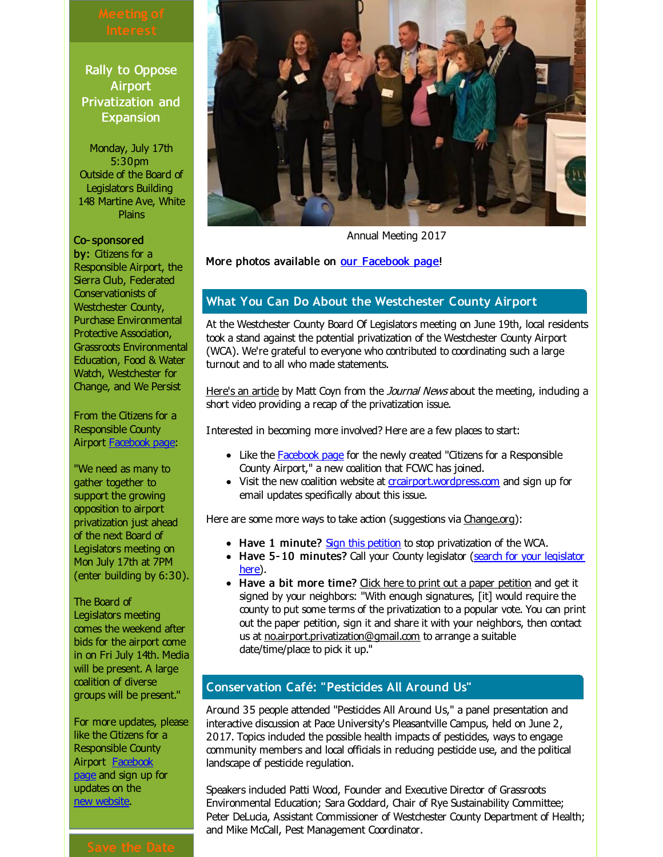Rally to Oppose **Airport** Privatization and **Expansion** 

Monday, July 17th 5:30pm Outside of the Board of Legislators Building 148 Martine Ave, White Plains

### Co- sponsored

by: Citizens for a Responsible Airport, the Sierra Club, Federated Conservationists of Westchester County, Purchase Environmental Protective Association, Grassroots Environmental Education, Food & Water Watch, Westchester for Change, and We Persist

From the Citizens for a Responsible County Airport [Facebook](http://r20.rs6.net/tn.jsp?f=001P7lq9BuH0lAMhfpAa6ZswG48uo3EE6Bghkh5SO9cY06y2d8C1qiZ5hrG7I5UvLrp2eCAQjAYsIHUBzBqHLPB1FhddWaNzSQgXJtsDGDXwcMyzU5O6bXkEyYEwYPmL4379r-gpGq1W_34YnJ3NV_aZc2WbJqcTLVp0iMv1vNBJwTMt3T6Nst2ETnrEoV7k0vBK_zgpxXPnh8=&c=&ch=) page:

"We need as many to gather together to support the growing opposition to airport privatization just ahead of the next Board of Legislators meeting on Mon July 17th at 7PM (enter building by 6:30).

The Board of Legislators meeting comes the weekend after bids for the airport come in on Fri July 14th. Media will be present. A large coalition of diverse groups will be present."

For more updates, please like the Citizens for a Responsible County Airport [Facebook](http://r20.rs6.net/tn.jsp?f=001P7lq9BuH0lAMhfpAa6ZswG48uo3EE6Bghkh5SO9cY06y2d8C1qiZ5hrG7I5UvLrp2eCAQjAYsIHUBzBqHLPB1FhddWaNzSQgXJtsDGDXwcMyzU5O6bXkEyYEwYPmL4379r-gpGq1W_34YnJ3NV_aZc2WbJqcTLVp0iMv1vNBJwTMt3T6Nst2ETnrEoV7k0vBK_zgpxXPnh8=&c=&ch=) page and sign up for updates on the new [website](http://r20.rs6.net/tn.jsp?f=001P7lq9BuH0lAMhfpAa6ZswG48uo3EE6Bghkh5SO9cY06y2d8C1qiZ5qshE5WUJPct2wIWmjBY4qZDBcYUfng1yCN4XE9aJFcK6W6n9rAHCMdvBjb0S_jh66prF7QO98oNj8mRII_IHcvego5PC9sFsjsvIEI0Q8__LY7xzhAaBCM6hUlDFOOKGA==&c=&ch=).

# Annual Meeting 2017

### More photos available on our [Facebook](http://r20.rs6.net/tn.jsp?f=001P7lq9BuH0lAMhfpAa6ZswG48uo3EE6Bghkh5SO9cY06y2d8C1qiZ5hrG7I5UvLrpv4sHog30syFcKA3VOwTUKjVIvlgannEuQqmUJyNe-Gg20XBiwGcs1EHEfrBStTOzRyblhwwuggYGAr9M_6dt4dm--Ls2hgspojU8QT5s__H-ARa-ChmYy-UqMDo1XMBJw_rK2wWWUwIJ8BY2k9idOoP1iaUKGq4BkYlWYBkpV5YOwd4fD8F16vcHgig0ybErJ4hnl66aYsrI0h8DyZCUk2IfFcnhWKzcDz3qkZctvRQNjscYOxj4ULu1I8Qb60S7035oTN-7dkEX6kbSWdxNDheVCLPvlqD6&c=&ch=) page!

### **What You Can Do About the Westchester County Airport**

At the Westchester County Board Of Legislators meeting on June 19th, local residents took a stand against the potential privatization of the Westchester County Airport (WCA). We're grateful to everyone who contributed to coordinating such a large turnout and to all who made statements.

[Here's](http://r20.rs6.net/tn.jsp?f=001P7lq9BuH0lAMhfpAa6ZswG48uo3EE6Bghkh5SO9cY06y2d8C1qiZ5hrG7I5UvLrpNHYtO6bYe3VTE65yIaYuocbIxDfZuB_Eqiz8jE7fOe-C-kn2A4S9cssL7isM4Sn4BfkYw3aMXnZ2XcA_hxhTfLEVYTpyLF-U3JZULakZ9UBuC-f2Lroy32whshLhKM_xKeY9ynRu2noWwTzQzivNO_Mbn3D4O1OtTLI7NE3fQMAofgy-jPslEcwJu_FrfXspTuvZKEtxQMH3yNXcToYSmrJKF9Vnq-8f7gLm5S5S3vc=&c=&ch=) an artide by Matt Coyn from the *Journal News* about the meeting, induding a short video providing a recap of the privatization issue.

Interested in becoming more involved? Here are a few places to start:

- Like the [Facebook](http://r20.rs6.net/tn.jsp?f=001P7lq9BuH0lAMhfpAa6ZswG48uo3EE6Bghkh5SO9cY06y2d8C1qiZ5hrG7I5UvLrpHBXR5PsI20qDBUcfIGR6EJpO-29NIenRl-TE_qlN0g294NuKtgE0jZraE6Tw6X_SDUopul2zyInroSeDj5tFgeA1OFkDtozcPmnrcVvsuEJwkQzSJwPryEdjwL5z7jFL&c=&ch=) page for the newly created "Citizens for a Responsible County Airport," a new coalition that FCWC has joined.
- Visit the new coalition website at *grairport.wordpress.com* and sign up for email updates specifically about this issue.

Here are some more ways to take action (suggestions via [Change.org](http://r20.rs6.net/tn.jsp?f=001P7lq9BuH0lAMhfpAa6ZswG48uo3EE6Bghkh5SO9cY06y2d8C1qiZ5hrG7I5UvLrpvxBYfAGyDb4aFm9fGORmY597Vwtohzc6Yomf9ijZikc5R2eyzf08Si6nAJshpYofpP-TDoseC0U8agH43ByYKuj4bWnEQqHicQhUnZ2ST3mij_gxBM8fmf7mCtS1AEztHidHz8-tE8Ua2i82WREBFAQVNKmxMJATSJUXapxGd8hQolsTND3tPzg_ifJkbrKixS41SNErmpkyH0pJlQYJ-0iRxURu4mR2&c=&ch=)):

- Have 1 minute? Sign this [petition](http://r20.rs6.net/tn.jsp?f=001P7lq9BuH0lAMhfpAa6ZswG48uo3EE6Bghkh5SO9cY06y2d8C1qiZ5hrG7I5UvLrpvxBYfAGyDb4aFm9fGORmY597Vwtohzc6Yomf9ijZikc5R2eyzf08Si6nAJshpYofpP-TDoseC0U8agH43ByYKuj4bWnEQqHicQhUnZ2ST3mij_gxBM8fmf7mCtS1AEztHidHz8-tE8Ua2i82WREBFAQVNKmxMJATSJUXapxGd8hQolsTND3tPzg_ifJkbrKixS41SNErmpkyH0pJlQYJ-0iRxURu4mR2&c=&ch=) to stop privatization of the WCA.
- Have 5-10 [minutes?](http://r20.rs6.net/tn.jsp?f=001P7lq9BuH0lAMhfpAa6ZswG48uo3EE6Bghkh5SO9cY06y2d8C1qiZ5hrG7I5UvLrpHXrIfW-JW4P7ACZhakepAjLit70ynmzCBAjRHC9UC-42r4URK8_Hgm6jZ3MHEJ2KyXAz9I_-XckZFM_AfNL10AJzs9-YIAjf11MhXjS1Sz8EcE2oDDSrU-w91lqAxlG6t84llnNAG_eTHbcaPrBknHjvyRKc3LtJWRU9eiYFGcg=&c=&ch=) Call your County legislator (search for your legislator here).
- Have a bit more time? Click here to print out a paper [petition](http://r20.rs6.net/tn.jsp?f=001P7lq9BuH0lAMhfpAa6ZswG48uo3EE6Bghkh5SO9cY06y2d8C1qiZ5hrG7I5UvLrpS_mK6IcmBcXH40I57YqHHebtD-raPr0oKnAbkkOIgeBZigHOMzCobPDiULZr1_dMl0xZAM3iA-QZYXjiPhNlvS_EDYkd-5a85yR0Ej0L6xAt-X_RDRjFqL1_h-QcHPMvFLgvO1E_bZaSnRprWrMaYZUtIFZ_y9i2AFYKIlc8KKWlRU1rrhk1vsm6c31falwVcUPd6StuStM=&c=&ch=) and get it signed by your neighbors: "With enough signatures, [it] would require the county to put some terms of the privatization to a popular vote. You can print out the paper petition, sign it and share it with your neighbors, then contact us at [no.airport.privatization@gmail.com](mailto:no.airport.privatization@gmail.com) to arrange a suitable date/time/place to pick it up."

### **Conservation Café: "Pesticides All Around Us"**

Around 35 people attended "Pesticides All Around Us," a panel presentation and interactive discussion at Pace University's Pleasantville Campus, held on June 2, 2017. Topics induded the possible health impacts of pesticides, ways to engage community members and local officials in reducing pesticide use, and the political landscape of pesticide regulation.

Speakers induded Patti Wood, Founder and Executive Director of Grassroots Environmental Education; Sara Goddard, Chair of Rye Sustainability Committee; Peter DeLucia, Assistant Commissioner of Westchester County Department of Health; and Mike McCall, Pest Management Coordinator.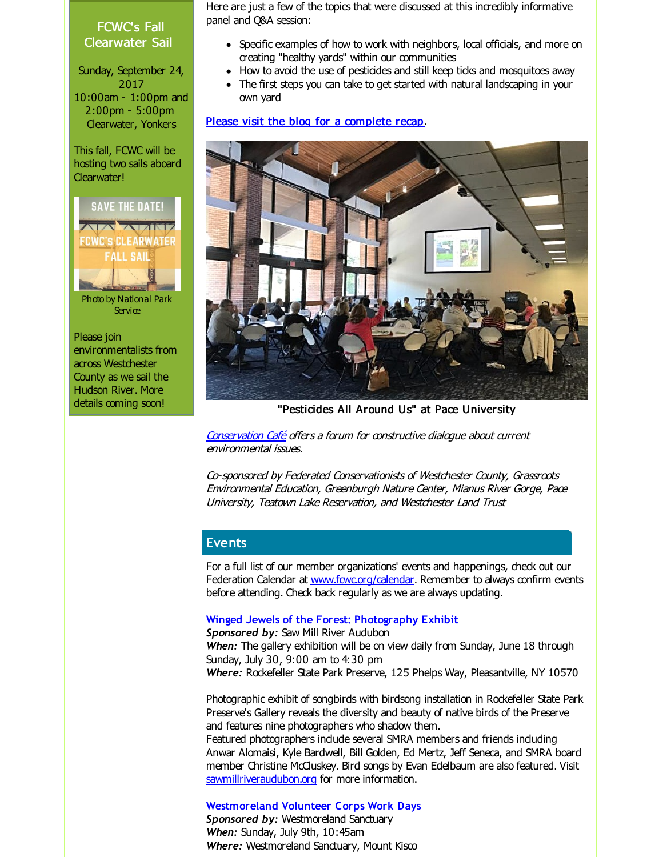### FCWC's Fall Clearwater Sail

Sunday, September 24, 2017 10:00am - 1:00pm and 2:00pm - 5:00pm Clearwater, Yonkers

This fall, FCWC will be hosting two sails aboard Clearwater!

**SAVE THE DATE!** VATIL **FCWC'S CLEARWATER ALL SAIL** Photo by National Park **Service** 

Please join environmentalists from across Westchester County as we sail the Hudson River. More details coming soon!

Here are just a few of the topics that were discussed at this incredibly informative panel and Q&A session:

- Specific examples of how to work with neighbors, local officials, and more on creating "healthy yards" within our communities
- How to avoid the use of pesticides and still keep ticks and mosquitoes away
- The first steps you can take to get started with natural landscaping in your own yard

Please visit the blog for a [complete](http://r20.rs6.net/tn.jsp?f=001P7lq9BuH0lAMhfpAa6ZswG48uo3EE6Bghkh5SO9cY06y2d8C1qiZ5hrG7I5UvLrpV-SWKI4YkAgUsCPgKPDosQJkhQIcOfZX3KExf9DfF8aDKPCsKmCkUmasG-sOlNYkaTcvX-SQaHzjv2mmptLxbdZ5X2-bYu-Eu6xT3_ee3M5qiK4ivdayeaCWNuKoCI992ek9FqzGKaxG0W2pnS2ETZLz7zL__Sq9Fpw_JkyjuR_ujxzcyLvPeujaBVLP9_cO&c=&ch=) recap.



"Pesticides All Around Us" at Pace University

[Conservation](http://r20.rs6.net/tn.jsp?f=001P7lq9BuH0lAMhfpAa6ZswG48uo3EE6Bghkh5SO9cY06y2d8C1qiZ5rXpZ64AI_jBZa5hMZHMnOXw5xonEayPQHoaI7wvz7ZZoKwobkLorQltlpwSTSsW8efq2MUgRlEqsnzbVI4rogy9aytTfnu0HTEhKI6RLg3eG4KVyqskk_UiNl5eermyYn7Qoyeh4HCl0BZO2LkPRRINQRGhExQOFUlzGf12AzzUN9BA3tut-bE=&c=&ch=) Café offers a forum for constructive dialogue about current environmental issues.

Co-sponsored by Federated Conservationists of Westchester County, Grassroots Environmental Education, Greenburgh Nature Center, Mianus River Gorge, Pace University, Teatown Lake Reservation, and Westchester Land Trust

## **Events**

For a full list of our member organizations' events and happenings, check out our Federation Calendar at www.fovc.org/calendar. Remember to always confirm events before attending. Check back regularly as we are always updating.

### **Winged Jewels of the Forest: Photography Exhibit**

*Sponsored by:* Saw Mill River Audubon *When:* The gallery exhibition will be on view daily from Sunday, June 18 through Sunday, July 30, 9:00 am to 4:30 pm *Where:* Rockefeller State Park Preserve, 125 Phelps Way, Pleasantville, NY 10570

Photographic exhibit of songbirds with birdsong installation in Rockefeller State Park Preserve's Gallery reveals the diversity and beauty of native birds of the Preserve and features nine photographers who shadow them.

Featured photographers indude several SMRA members and friends induding Anwar Alomaisi, Kyle Bardwell, Bill Golden, Ed Mertz, Jeff Seneca, and SMRA board member Christine McCluskey. Bird songs by Evan Edelbaum are also featured. Visit [sawmillriveraudubon.org](http://r20.rs6.net/tn.jsp?f=001P7lq9BuH0lAMhfpAa6ZswG48uo3EE6Bghkh5SO9cY06y2d8C1qiZ5h_Sh_rhPRLhHbfeetBISuuSFvGQH8WuBgOCrBM7TEMxT8wzvTaJMdI3xK_Wnfv-7jD_vsBQtlTPDPuCSFOjnKhjEZmZ3sDOXCvvx99B1umuWLUGbXyBtfINczOLg2z4TYj004xZ3jxA&c=&ch=) for more information.

### **Westmoreland Volunteer Corps Work Days**

**Sponsored by: Westmoreland Sanctuary** *When:* Sunday, July 9th, 10:45am Where: Westmoreland Sanctuary, Mount Kisco